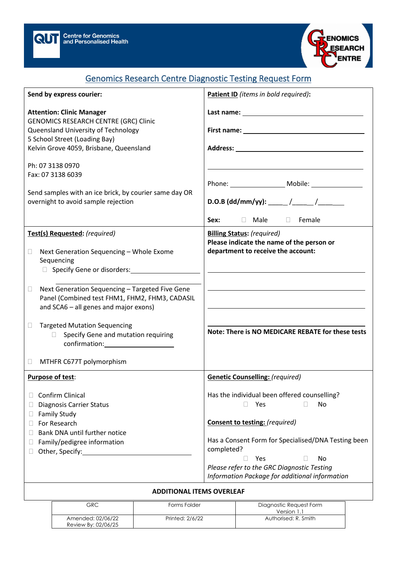



## Genomics Research Centre Diagnostic Testing Request Form

| Send by express courier:                                                                                                                                                                                                                                                                                                                                                                                    | Patient ID (items in bold required):                                                                                                                                                                                                                                                                                                                             |
|-------------------------------------------------------------------------------------------------------------------------------------------------------------------------------------------------------------------------------------------------------------------------------------------------------------------------------------------------------------------------------------------------------------|------------------------------------------------------------------------------------------------------------------------------------------------------------------------------------------------------------------------------------------------------------------------------------------------------------------------------------------------------------------|
| <b>Attention: Clinic Manager</b><br><b>GENOMICS RESEARCH CENTRE (GRC) Clinic</b><br>Queensland University of Technology<br>5 School Street (Loading Bay)<br>Kelvin Grove 4059, Brisbane, Queensland                                                                                                                                                                                                         | Last name: University of the state of the state of the state of the state of the state of the state of the state of the state of the state of the state of the state of the state of the state of the state of the state of th                                                                                                                                   |
| Ph: 07 3138 0970<br>Fax: 07 3138 6039<br>Send samples with an ice brick, by courier same day OR<br>overnight to avoid sample rejection                                                                                                                                                                                                                                                                      | Sex:<br>□ Male □ Female                                                                                                                                                                                                                                                                                                                                          |
| Test(s) Requested: (required)<br>Next Generation Sequencing - Whole Exome<br>0<br>Sequencing<br>Next Generation Sequencing - Targeted Five Gene<br>u<br>Panel (Combined test FHM1, FHM2, FHM3, CADASIL<br>and SCA6 - all genes and major exons)<br><b>Targeted Mutation Sequencing</b><br>u<br>Specify Gene and mutation requiring<br>П.<br>$confirmation: \_\_\_\_\_\_\_$<br>MTHFR C677T polymorphism<br>u | <b>Billing Status: (required)</b><br>Please indicate the name of the person or<br>department to receive the account:<br>Note: There is NO MEDICARE REBATE for these tests                                                                                                                                                                                        |
| Purpose of test:<br>Confirm Clinical<br><b>Diagnosis Carrier Status</b><br><b>Family Study</b><br>Ш<br>For Research<br>Ш<br>Bank DNA until further notice<br>Family/pedigree information<br>Other, Specify: 1997                                                                                                                                                                                            | <b>Genetic Counselling: (required)</b><br>Has the individual been offered counselling?<br>Yes<br>No<br>П.<br>$\Box$<br><b>Consent to testing: (required)</b><br>Has a Consent Form for Specialised/DNA Testing been<br>completed?<br>Yes<br>No<br>$\mathbb{R}^n$<br>Please refer to the GRC Diagnostic Testing<br>Information Package for additional information |

## **ADDITIONAL ITEMS OVERLEAF**

| GRC                                      | Forms Folder    | Diagnostic Request Form<br>Version 1.1 |
|------------------------------------------|-----------------|----------------------------------------|
| Amended: 02/06/22<br>Review By: 02/06/25 | Printed: 2/6/22 | Authorised: R. Smith                   |